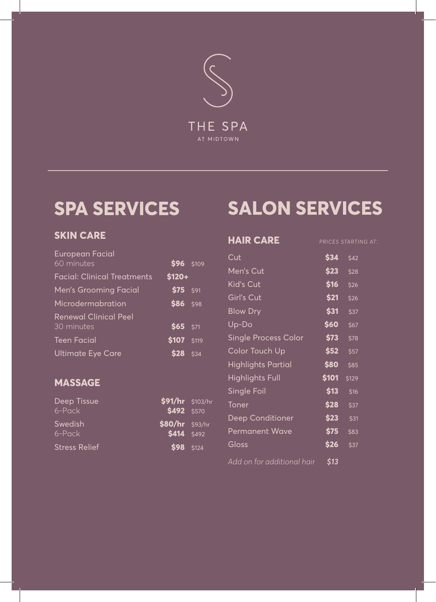

# **SPA SERVICES**

## **SKIN CARE**

| <b>European Facial</b><br>60 minutes       | <b>\$96</b> \$109 |       |
|--------------------------------------------|-------------------|-------|
| Facial: Clinical Treatments                | $$120+$           |       |
| <b>Men's Grooming Facial</b>               | <b>\$75</b>       | \$91  |
| Microdermabration                          | <b>\$86</b> \$98  |       |
| <b>Renewal Clinical Peel</b><br>30 minutes | $$65$ $$71$       |       |
| <b>Teen Facial</b>                         | \$107             | \$119 |
| Ultimate Eye Care                          |                   | \$34  |

## **MASSAGE**

| Deep Tissue<br>6-Pack | \$91/hr $$103/hr$<br>\$492 \$570       |  |
|-----------------------|----------------------------------------|--|
| Swedish<br>6-Pack     | $$80/hr$ \$93/hr<br><b>\$414</b> \$492 |  |
| <b>Stress Relief</b>  | <b>\$98</b> \$124                      |  |

# **SALON SERVICES**

**HAIR CARE** *prices starting at:*

| Cut                         | \$34  | \$42  |
|-----------------------------|-------|-------|
| Men's Cut                   | \$23  | \$28  |
| Kid's Cut                   | \$16  | \$26  |
| Girl's Cut                  | \$21  | \$26  |
| <b>Blow Dry</b>             | \$31  | \$37  |
| Up-Do                       | \$60  | \$67  |
| <b>Single Process Color</b> | \$73  | \$78  |
| Color Touch Up              | \$52  | \$57  |
| Highlights Partial          | \$80  | \$85  |
| Highlights Full             | \$101 | \$129 |
| Single Foil                 | \$13  | \$16  |
| Toner                       | \$28  | \$37  |
| Deep Conditioner            | \$23  | \$31  |
| Permanent Wave              | \$75  | \$83  |
| Gloss                       | \$26  | \$37  |
| Add on for additional hair  | \$13  |       |